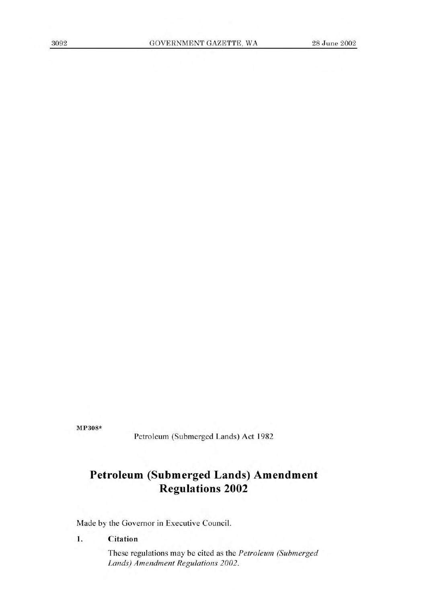**MP308\*** 

Petroleum (Submerged Lands) Act 1982

# **Petroleum (Submerged Lands) Amendment Regulations 2002**

Made by the Governor in Executive Council.

## 1. Citation

These regulations may be cited as the *Petroleum (Submerged Lands) Amendment Regulations 2002.*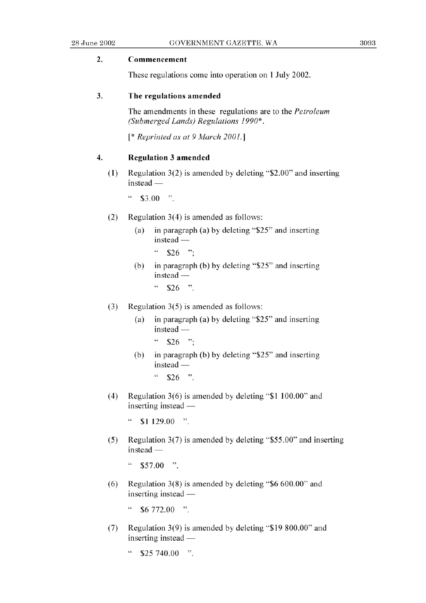### **2. Commencement**

These regulations come into operation on 1 July 2002.

#### 3. The regulations amended

The amendments in these regulations are to the *Petroleum (Submerged Lands) Regulations 1990\*.* 

*[\* Reprinted as at 9 March 2001.]* 

#### **4. Regulation** 3 **amended**

(1) Regulation 3(2) is amended by deleting "\$2.00" and inserting  $instead$  —

 $\cdot\cdot$  \$3.00  $\cdot\cdot$ 

- (2) Regulation 3(4) is amended as follows:
	- (a) in paragraph (a) by deleting *"\$25"* and inserting  $instead -$ 
		- $\frac{4}{326}$  ...
	- (b) in paragraph (b) by deleting "\$25" and inserting  $instead -$ 
		- $\frac{1}{26}$  .  $\frac{1}{26}$  .  $\frac{1}{26}$
- (3) Regulation *3(5)* is amended as follows:
	- (a) in paragraph (a) by deleting *"\$25"* and inserting instead -
		- $\frac{4}{326}$  ...
	- (b) in paragraph (b) by deleting *"\$25"* and inserting  $instead -$ 
		- $\frac{4}{10}$  \$26 ".
- (4) Regulation  $3(6)$  is amended by deleting "\$1 100.00" and inserting instead  $-$ 
	- $\degree$  \$1 129.00 ".
- *(5)* Regulation 3(7) is amended by deleting *\$55.00'* and inserting instead -
	- " *\$57.00* ".
- (6) Regulation 3(8) is amended by deleting "\$6 600.00' and inserting instead  $-$

 $\degree$  \$6 772.00 ".

- (7) Regulation 3(9) is amended by deleting "\$19 800.00" and inserting instead —
	- $\zeta\,\zeta$ *\$25* 740.00 ".